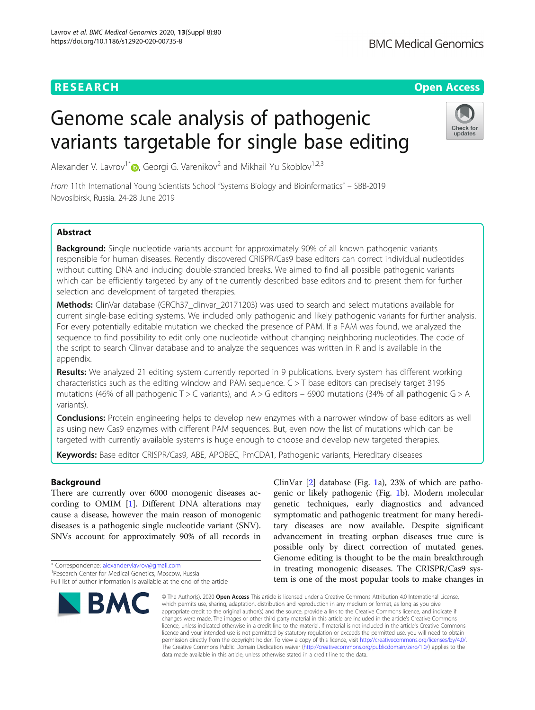# **RESEARCH CHINESE ARCH CHINESE ARCHITECT ARCHITECT ARCHITECT ARCHITECT ARCHITECT ARCHITECT ARCHITECT ARCHITECT ARCHITECT ARCHITECT ARCHITECT ARCHITECT ARCHITECT ARCHITECT ARCHITECT ARCHITECT ARCHITECT ARCHITECT ARCHITE**

Check for updates

# Genome scale analysis of pathogenic variants targetable for single base editing

Alexander V. Lavrov<sup>1\*</sup>  $\bullet$ [,](http://orcid.org/0000-0003-4962-6947) Georgi G. Varenikov<sup>2</sup> and Mikhail Yu Skoblov<sup>1,2,3</sup>

From 11th International Young Scientists School "Systems Biology and Bioinformatics" – SBB-2019 Novosibirsk, Russia. 24-28 June 2019

# **Abstract**

**Background:** Single nucleotide variants account for approximately 90% of all known pathogenic variants responsible for human diseases. Recently discovered CRISPR/Cas9 base editors can correct individual nucleotides without cutting DNA and inducing double-stranded breaks. We aimed to find all possible pathogenic variants which can be efficiently targeted by any of the currently described base editors and to present them for further selection and development of targeted therapies.

Methods: ClinVar database (GRCh37 clinvar 20171203) was used to search and select mutations available for current single-base editing systems. We included only pathogenic and likely pathogenic variants for further analysis. For every potentially editable mutation we checked the presence of PAM. If a PAM was found, we analyzed the sequence to find possibility to edit only one nucleotide without changing neighboring nucleotides. The code of the script to search Clinvar database and to analyze the sequences was written in R and is available in the appendix.

Results: We analyzed 21 editing system currently reported in 9 publications. Every system has different working characteristics such as the editing window and PAM sequence.  $C > T$  base editors can precisely target 3196 mutations (46% of all pathogenic T > C variants), and A > G editors – 6900 mutations (34% of all pathogenic G > A variants).

**Conclusions:** Protein engineering helps to develop new enzymes with a narrower window of base editors as well as using new Cas9 enzymes with different PAM sequences. But, even now the list of mutations which can be targeted with currently available systems is huge enough to choose and develop new targeted therapies.

Keywords: Base editor CRISPR/Cas9, ABE, APOBEC, PmCDA1, Pathogenic variants, Hereditary diseases

## Background

There are currently over 6000 monogenic diseases according to OMIM [\[1\]](#page-6-0). Different DNA alterations may cause a disease, however the main reason of monogenic diseases is a pathogenic single nucleotide variant (SNV). SNVs account for approximately 90% of all records in

\* Correspondence: [alexandervlavrov@gmail.com](mailto:alexandervlavrov@gmail.com) <sup>1</sup>

<sup>&</sup>lt;sup>1</sup> Research Center for Medical Genetics, Moscow, Russia Full list of author information is available at the end of the article



ClinVar [[2\]](#page-6-0) database (Fig. [1](#page-1-0)a), 23% of which are pathogenic or likely pathogenic (Fig. [1b](#page-1-0)). Modern molecular genetic techniques, early diagnostics and advanced symptomatic and pathogenic treatment for many hereditary diseases are now available. Despite significant advancement in treating orphan diseases true cure is possible only by direct correction of mutated genes. Genome editing is thought to be the main breakthrough in treating monogenic diseases. The CRISPR/Cas9 system is one of the most popular tools to make changes in

© The Author(s), 2020 **Open Access** This article is licensed under a Creative Commons Attribution 4.0 International License, which permits use, sharing, adaptation, distribution and reproduction in any medium or format, as long as you give appropriate credit to the original author(s) and the source, provide a link to the Creative Commons licence, and indicate if changes were made. The images or other third party material in this article are included in the article's Creative Commons licence, unless indicated otherwise in a credit line to the material. If material is not included in the article's Creative Commons licence and your intended use is not permitted by statutory regulation or exceeds the permitted use, you will need to obtain permission directly from the copyright holder. To view a copy of this licence, visit [http://creativecommons.org/licenses/by/4.0/.](http://creativecommons.org/licenses/by/4.0/) The Creative Commons Public Domain Dedication waiver [\(http://creativecommons.org/publicdomain/zero/1.0/](http://creativecommons.org/publicdomain/zero/1.0/)) applies to the data made available in this article, unless otherwise stated in a credit line to the data.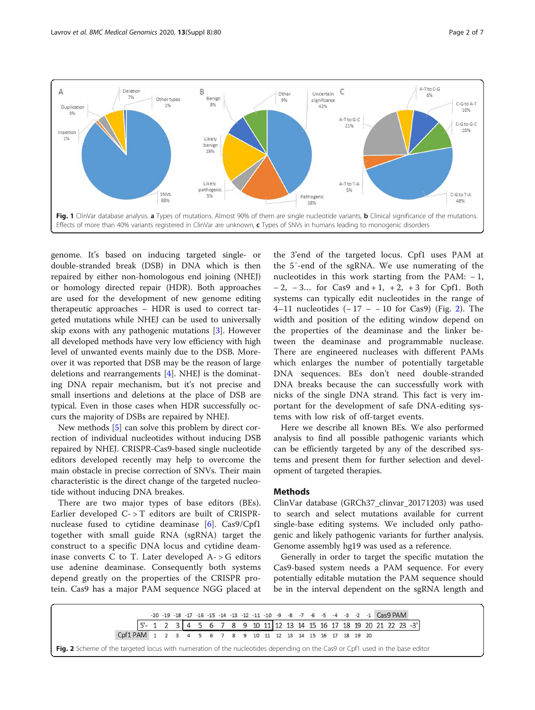<span id="page-1-0"></span>

genome. It's based on inducing targeted single- or double-stranded break (DSB) in DNA which is then repaired by either non-homologous end joining (NHEJ) or homology directed repair (HDR). Both approaches are used for the development of new genome editing therapeutic approaches – HDR is used to correct targeted mutations while NHEJ can be used to universally skip exons with any pathogenic mutations [\[3](#page-6-0)]. However all developed methods have very low efficiency with high level of unwanted events mainly due to the DSB. Moreover it was reported that DSB may be the reason of large deletions and rearrangements [[4\]](#page-6-0). NHEJ is the dominating DNA repair mechanism, but it's not precise and small insertions and deletions at the place of DSB are typical. Even in those cases when HDR successfully occurs the majority of DSBs are repaired by NHEJ.

New methods [[5\]](#page-6-0) can solve this problem by direct correction of individual nucleotides without inducing DSB repaired by NHEJ. CRISPR-Cas9-based single nucleotide editors developed recently may help to overcome the main obstacle in precise correction of SNVs. Their main characteristic is the direct change of the targeted nucleotide without inducing DNA breakes.

There are two major types of base editors (BEs). Earlier developed C- > T editors are built of CRISPRnuclease fused to cytidine deaminase [[6\]](#page-6-0). Cas9/Cpf1 together with small guide RNA (sgRNA) target the construct to a specific DNA locus and cytidine deaminase converts  $C$  to  $T$ . Later developed  $A - > G$  editors use adenine deaminase. Consequently both systems depend greatly on the properties of the CRISPR protein. Cas9 has a major PAM sequence NGG placed at

the 3'end of the targeted locus. Cpf1 uses PAM at the 5′-end of the sgRNA. We use numerating of the nucleotides in this work starting from the PAM:  $-1$ , − 2, − 3… for Cas9 and + 1, + 2, + 3 for Cpf1. Both systems can typically edit nucleotides in the range of 4–11 nucleotides (− 17 – − 10 for Cas9) (Fig. 2). The width and position of the editing window depend on the properties of the deaminase and the linker between the deaminase and programmable nuclease. There are engineered nucleases with different PAMs which enlarges the number of potentially targetable DNA sequences. BEs don't need double-stranded DNA breaks because the can successfully work with nicks of the single DNA strand. This fact is very important for the development of safe DNA-editing systems with low risk of off-target events.

Here we describe all known BEs. We also performed analysis to find all possible pathogenic variants which can be efficiently targeted by any of the described systems and present them for further selection and development of targeted therapies.

## Methods

ClinVar database (GRCh37\_clinvar\_20171203) was used to search and select mutations available for current single-base editing systems. We included only pathogenic and likely pathogenic variants for further analysis. Genome assembly hg19 was used as a reference.

Generally in order to target the specific mutation the Cas9-based system needs a PAM sequence. For every potentially editable mutation the PAM sequence should be in the interval dependent on the sgRNA length and

 $-20 - 19 - 18 - 17 - 16 - 15 - 14 - 13 - 12 - 11 - 10$  $-9$ -8  $-7$ -6 -5 -4 -3 -2 -1 Cas9 PAM  $5^{\circ}$  $\mathbf{1}$  $\overline{2}$  $\overline{3}$  $\overline{4}$ 5 6  $\overline{7}$ 8  $\overline{9}$ 10 11 12 13 14 15 16 17 18 19 20 21 22 23 -3 Cpf1 PAM 1  $\overline{\mathbf{2}}$  $\ensuremath{\mathsf{3}}$  $\overline{4}$ 5  $6\overline{6}$  $7^{\circ}$  $\bf 8$ 9 10 11 12 13 14 15 16 17 18 19 20

Fig. 2 Scheme of the targeted locus with numeration of the nucleotides depending on the Cas9 or Cpf1 used in the base editor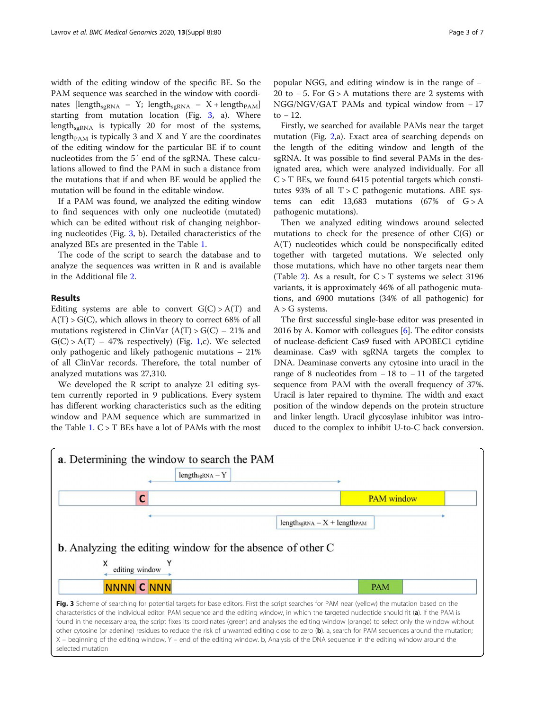width of the editing window of the specific BE. So the PAM sequence was searched in the window with coordinates [length<sub>sgRNA</sub> – Y; length<sub>sgRNA</sub> – X + length<sub>PAM</sub>] starting from mutation location (Fig. 3, a). Where length $_{\text{sgRNA}}$  is typically 20 for most of the systems, length<sub>PAM</sub> is typically 3 and X and Y are the coordinates of the editing window for the particular BE if to count nucleotides from the 5′ end of the sgRNA. These calculations allowed to find the PAM in such a distance from the mutations that if and when BE would be applied the mutation will be found in the editable window.

If a PAM was found, we analyzed the editing window to find sequences with only one nucleotide (mutated) which can be edited without risk of changing neighboring nucleotides (Fig. 3, b). Detailed characteristics of the analyzed BEs are presented in the Table [1](#page-3-0).

The code of the script to search the database and to analyze the sequences was written in R and is available in the Additional file [2.](#page-5-0)

### Results

Editing systems are able to convert  $G(C) > A(T)$  and  $A(T) > G(C)$ , which allows in theory to correct 68% of all mutations registered in ClinVar  $(A(T) > G(C) - 21\%$  and  $G(C) > A(T) - 47\%$  respectively) (Fig. [1](#page-1-0),c). We selected only pathogenic and likely pathogenic mutations – 21% of all ClinVar records. Therefore, the total number of analyzed mutations was 27,310.

We developed the R script to analyze 21 editing system currently reported in 9 publications. Every system has different working characteristics such as the editing window and PAM sequence which are summarized in the Table  $1. C > T$  $1. C > T$  BEs have a lot of PAMs with the most

popular NGG, and editing window is in the range of − 20 to − 5. For G > A mutations there are 2 systems with NGG/NGV/GAT PAMs and typical window from − 17 to  $-12$ .

Firstly, we searched for available PAMs near the target mutation (Fig. [2,](#page-1-0)a). Exact area of searching depends on the length of the editing window and length of the sgRNA. It was possible to find several PAMs in the designated area, which were analyzed individually. For all  $C > T$  BEs, we found 6415 potential targets which constitutes 93% of all  $T > C$  pathogenic mutations. ABE systems can edit 13,683 mutations (67% of  $G > A$ pathogenic mutations).

Then we analyzed editing windows around selected mutations to check for the presence of other  $C(G)$  or A(T) nucleotides which could be nonspecifically edited together with targeted mutations. We selected only those mutations, which have no other targets near them (Table [2\)](#page-4-0). As a result, for  $C > T$  systems we select 3196 variants, it is approximately 46% of all pathogenic mutations, and 6900 mutations (34% of all pathogenic) for  $A > G$  systems.

The first successful single-base editor was presented in 2016 by A. Komor with colleagues  $[6]$ . The editor consists of nuclease-deficient Cas9 fused with APOBEC1 cytidine deaminase. Cas9 with sgRNA targets the complex to DNA. Deaminase converts any cytosine into uracil in the range of 8 nucleotides from  $-18$  to  $-11$  of the targeted sequence from PAM with the overall frequency of 37%. Uracil is later repaired to thymine. The width and exact position of the window depends on the protein structure and linker length. Uracil glycosylase inhibitor was introduced to the complex to inhibit U-to-C back conversion.



# selected mutation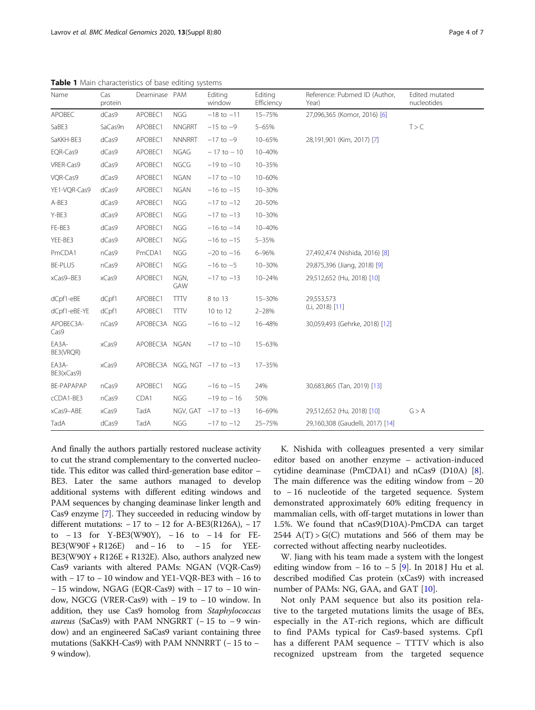| Name                | Cas<br>protein | Deaminase PAM |               | Editing<br>window            | Editing<br>Efficiency | Reference: Pubmed ID (Author,<br>Year) | Edited mutated<br>nucleotides |
|---------------------|----------------|---------------|---------------|------------------------------|-----------------------|----------------------------------------|-------------------------------|
| APOBEC              | dCas9          | APOBEC1       | <b>NGG</b>    | $-18$ to $-11$               | 15-75%                | 27,096,365 (Komor, 2016) [6]           |                               |
| SaBE3               | SaCas9n        | APOBEC1       | <b>NNGRRT</b> | $-15$ to $-9$                | 5-65%                 |                                        | T > C                         |
| SaKKH-BE3           | dCas9          | APOBEC1       | <b>NNNRRT</b> | $-17$ to $-9$                | 10-65%                | 28,191,901 (Kim, 2017) [7]             |                               |
| EQR-Cas9            | dCas9          | APOBEC1       | <b>NGAG</b>   | $-17$ to $-10$               | 10-40%                |                                        |                               |
| VRER-Cas9           | dCas9          | APOBEC1       | NGCG          | $-19$ to $-10$               | 10-35%                |                                        |                               |
| VQR-Cas9            | dCas9          | APOBEC1       | <b>NGAN</b>   | $-17$ to $-10$               | 10-60%                |                                        |                               |
| YE1-VQR-Cas9        | dCas9          | APOBEC1       | <b>NGAN</b>   | $-16$ to $-15$               | 10-30%                |                                        |                               |
| A-BE3               | dCas9          | APOBEC1       | <b>NGG</b>    | $-17$ to $-12$               | 20-50%                |                                        |                               |
| Y-BE3               | dCas9          | APOBEC1       | <b>NGG</b>    | $-17$ to $-13$               | 10-30%                |                                        |                               |
| FE-BE3              | dCas9          | APOBEC1       | <b>NGG</b>    | $-16$ to $-14$               | 10-40%                |                                        |                               |
| YEE-BE3             | dCas9          | APOBEC1       | <b>NGG</b>    | $-16$ to $-15$               | $5 - 35%$             |                                        |                               |
| PmCDA1              | nCas9          | PmCDA1        | <b>NGG</b>    | $-20$ to $-16$               | 6-96%                 | 27,492,474 (Nishida, 2016) [8]         |                               |
| <b>BE-PLUS</b>      | nCas9          | APOBEC1       | <b>NGG</b>    | $-16$ to $-5$                | 10-30%                | 29,875,396 (Jiang, 2018) [9]           |                               |
| xCas9-BE3           | xCas9          | APOBEC1       | NGN,<br>GAW   | $-17$ to $-13$               | 10-24%                | 29,512,652 (Hu, 2018) [10]             |                               |
| dCpf1-eBE           | dCpf1          | APOBEC1       | <b>TTTV</b>   | 8 to 13                      | 15-30%                | 29,553,573                             |                               |
| dCpf1-eBE-YE        | dCpf1          | APOBEC1       | <b>TTTV</b>   | 10 to 12                     | $2 - 28%$             | (Li, 2018) [11]                        |                               |
| APOBEC3A-<br>Cas9   | nCas9          | APOBEC3A NGG  |               | $-16$ to $-12$               | 16-48%                | 30,059,493 (Gehrke, 2018) [12]         |                               |
| EA3A-<br>BE3(VRQR)  | xCas9          | APOBEC3A NGAN |               | $-17$ to $-10$               | 15-63%                |                                        |                               |
| EA3A-<br>BE3(xCas9) | xCas9          |               |               | APOBEC3A NGG, NGT -17 to -13 | 17-35%                |                                        |                               |
| BE-PAPAPAP          | nCas9          | APOBEC1       | <b>NGG</b>    | $-16$ to $-15$               | 24%                   | 30,683,865 (Tan, 2019) [13]            |                               |
| cCDA1-BE3           | nCas9          | CDA1          | <b>NGG</b>    | $-19$ to $-16$               | 50%                   |                                        |                               |
| xCas9-ABE           | xCas9          | TadA          |               | NGV, GAT $-17$ to $-13$      | 16-69%                | 29,512,652 (Hu, 2018) [10]             | G > A                         |
| TadA                | dCas9          | TadA          | <b>NGG</b>    | $-17$ to $-12$               | 25-75%                | 29,160,308 (Gaudelli, 2017) [14]       |                               |

<span id="page-3-0"></span>Table 1 Main characteristics of base editing systems

And finally the authors partially restored nuclease activity to cut the strand complementary to the converted nucleotide. This editor was called third-generation base editor – BE3. Later the same authors managed to develop additional systems with different editing windows and PAM sequences by changing deaminase linker length and Cas9 enzyme [\[7](#page-6-0)]. They succeeded in reducing window by different mutations:  $-17$  to  $-12$  for A-BE3(R126A),  $-17$ to − 13 for Y-BE3(W90Y), − 16 to − 14 for FE-BE3(W90F + R126E) and − 16 to − 15 for YEE-BE3(W90Y + R126E + R132E). Also, authors analyzed new Cas9 variants with altered PAMs: NGAN (VQR-Cas9) with − 17 to − 10 window and YE1-VQR-BE3 with − 16 to − 15 window, NGAG (EQR-Cas9) with − 17 to − 10 window, NGCG (VRER-Cas9) with − 19 to − 10 window. In addition, they use Cas9 homolog from Staphylococcus aureus (SaCas9) with PAM NNGRRT  $(-15$  to −9 window) and an engineered SaCas9 variant containing three mutations (SaKKH-Cas9) with PAM NNNRRT (− 15 to − 9 window).

K. Nishida with colleagues presented a very similar editor based on another enzyme – activation-induced cytidine deaminase (PmCDA1) and nCas9 (D10A) [\[8](#page-6-0)]. The main difference was the editing window from − 20 to − 16 nucleotide of the targeted sequence. System demonstrated approximately 60% editing frequency in mammalian cells, with off-target mutations in lower than 1.5%. We found that nCas9(D10A)-PmCDA can target  $2544$  A(T) > G(C) mutations and 566 of them may be corrected without affecting nearby nucleotides.

W. Jiang with his team made a system with the longest editing window from  $-16$  to  $-5$  [[9](#page-6-0)]. In 2018 J Hu et al. described modified Cas protein (xCas9) with increased number of PAMs: NG, GAA, and GAT [\[10\]](#page-6-0).

Not only PAM sequence but also its position relative to the targeted mutations limits the usage of BEs, especially in the AT-rich regions, which are difficult to find PAMs typical for Cas9-based systems. Cpf1 has a different PAM sequence – TTTV which is also recognized upstream from the targeted sequence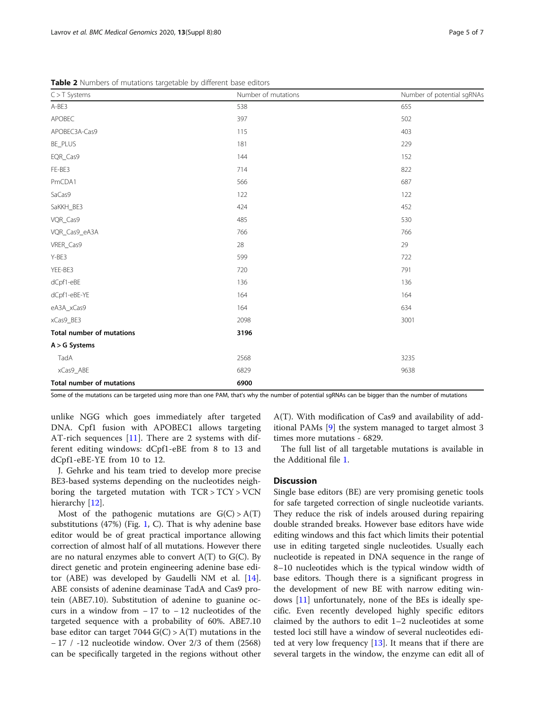<span id="page-4-0"></span>

| $C > T$ Systems                  | Number of mutations | Number of potential sgRNAs |
|----------------------------------|---------------------|----------------------------|
| A-BE3                            | 538                 | 655                        |
| APOBEC                           | 397                 | 502                        |
| APOBEC3A-Cas9                    | 115                 | 403                        |
| BE_PLUS                          | 181                 | 229                        |
| EQR_Cas9                         | 144                 | 152                        |
| FE-BE3                           | 714                 | 822                        |
| PmCDA1                           | 566                 | 687                        |
| SaCas9                           | 122                 | 122                        |
| SaKKH_BE3                        | 424                 | 452                        |
| VQR_Cas9                         | 485                 | 530                        |
| VQR_Cas9_eA3A                    | 766                 | 766                        |
| VRER_Cas9                        | 28                  | 29                         |
| Y-BE3                            | 599                 | 722                        |
| YEE-BE3                          | 720                 | 791                        |
| dCpf1-eBE                        | 136                 | 136                        |
| dCpf1-eBE-YE                     | 164                 | 164                        |
| eA3A_xCas9                       | 164                 | 634                        |
| xCas9_BE3                        | 2098                | 3001                       |
| Total number of mutations        | 3196                |                            |
| $A > G$ Systems                  |                     |                            |
| TadA                             | 2568                | 3235                       |
| xCas9_ABE                        | 6829                | 9638                       |
| <b>Total number of mutations</b> | 6900                |                            |

Some of the mutations can be targeted using more than one PAM, that's why the number of potential sgRNAs can be bigger than the number of mutations

unlike NGG which goes immediately after targeted DNA. Cpf1 fusion with APOBEC1 allows targeting AT-rich sequences [[11\]](#page-6-0). There are 2 systems with different editing windows: dCpf1-eBE from 8 to 13 and dCpf1-eBE-YE from 10 to 12.

J. Gehrke and his team tried to develop more precise BE3-based systems depending on the nucleotides neighboring the targeted mutation with TCR > TCY > VCN hierarchy [[12\]](#page-6-0).

Most of the pathogenic mutations are  $G(C) > A(T)$ substitutions (47%) (Fig. [1,](#page-1-0) C). That is why adenine base editor would be of great practical importance allowing correction of almost half of all mutations. However there are no natural enzymes able to convert  $A(T)$  to  $G(C)$ . By direct genetic and protein engineering adenine base editor (ABE) was developed by Gaudelli NM et al. [\[14](#page-6-0)]. ABE consists of adenine deaminase TadA and Cas9 protein (ABE7.10). Substitution of adenine to guanine occurs in a window from − 17 to − 12 nucleotides of the targeted sequence with a probability of 60%. ABE7.10 base editor can target  $7044 \text{ G(C)} > \text{A(T)}$  mutations in the − 17 / -12 nucleotide window. Over 2/3 of them (2568) can be specifically targeted in the regions without other A(T). With modification of Cas9 and availability of additional PAMs [[9\]](#page-6-0) the system managed to target almost 3 times more mutations - 6829.

The full list of all targetable mutations is available in the Additional file [1.](#page-5-0)

#### **Discussion**

Single base editors (BE) are very promising genetic tools for safe targeted correction of single nucleotide variants. They reduce the risk of indels aroused during repairing double stranded breaks. However base editors have wide editing windows and this fact which limits their potential use in editing targeted single nucleotides. Usually each nucleotide is repeated in DNA sequence in the range of 8–10 nucleotides which is the typical window width of base editors. Though there is a significant progress in the development of new BE with narrow editing windows [[11](#page-6-0)] unfortunately, none of the BEs is ideally specific. Even recently developed highly specific editors claimed by the authors to edit 1–2 nucleotides at some tested loci still have a window of several nucleotides edited at very low frequency  $[13]$  $[13]$ . It means that if there are several targets in the window, the enzyme can edit all of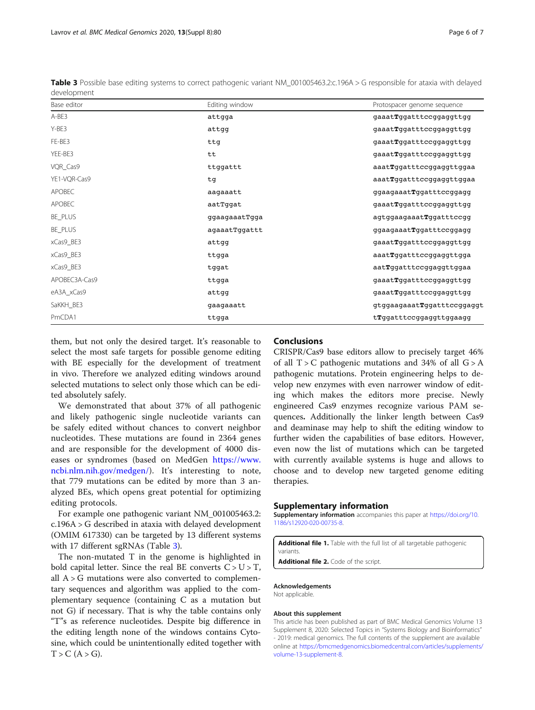them, but not only the desired target. It's reasonable to select the most safe targets for possible genome editing with BE especially for the development of treatment in vivo. Therefore we analyzed editing windows around selected mutations to select only those which can be edited absolutely safely.

We demonstrated that about 37% of all pathogenic and likely pathogenic single nucleotide variants can be safely edited without chances to convert neighbor nucleotides. These mutations are found in 2364 genes and are responsible for the development of 4000 diseases or syndromes (based on MedGen [https://www.](https://www.ncbi.nlm.nih.gov/medgen/) [ncbi.nlm.nih.gov/medgen/](https://www.ncbi.nlm.nih.gov/medgen/)). It's interesting to note, that 779 mutations can be edited by more than 3 analyzed BEs, which opens great potential for optimizing editing protocols.

For example one pathogenic variant NM\_001005463.2: c.196A > G described in ataxia with delayed development (OMIM 617330) can be targeted by 13 different systems with 17 different sgRNAs (Table 3).

The non-mutated T in the genome is highlighted in bold capital letter. Since the real BE converts  $C > U > T$ , all  $A > G$  mutations were also converted to complementary sequences and algorithm was applied to the complementary sequence (containing C as a mutation but not G) if necessary. That is why the table contains only "T"s as reference nucleotides. Despite big difference in the editing length none of the windows contains Cytosine, which could be unintentionally edited together with  $T > C (A > G).$ 

#### Conclusions

CRISPR/Cas9 base editors allow to precisely target 46% of all  $T > C$  pathogenic mutations and 34% of all  $G > A$ pathogenic mutations. Protein engineering helps to develop new enzymes with even narrower window of editing which makes the editors more precise. Newly engineered Cas9 enzymes recognize various PAM sequences. Additionally the linker length between Cas9 and deaminase may help to shift the editing window to further widen the capabilities of base editors. However, even now the list of mutations which can be targeted with currently available systems is huge and allows to choose and to develop new targeted genome editing therapies.

#### Supplementary information

Supplementary information accompanies this paper at [https://doi.org/10.](https://doi.org/10.1186/s12920-020-00735-8) [1186/s12920-020-00735-8](https://doi.org/10.1186/s12920-020-00735-8).

Additional file 1. Table with the full list of all targetable pathogenic variants.

Additional file 2. Code of the script.

#### Acknowledgements

Not applicable.

#### About this supplement

This article has been published as part of BMC Medical Genomics Volume 13 Supplement 8, 2020: Selected Topics in "Systems Biology and Bioinformatics" - 2019: medical genomics. The full contents of the supplement are available online at [https://bmcmedgenomics.biomedcentral.com/articles/supplements/](https://bmcmedgenomics.biomedcentral.com/articles/supplements/volume-13-supplement-8) [volume-13-supplement-8.](https://bmcmedgenomics.biomedcentral.com/articles/supplements/volume-13-supplement-8)

<span id="page-5-0"></span>

| Table 3 Possible base editing systems to correct pathogenic variant NM_001005463.2:c.196A > G responsible for ataxia with delayed |  |
|-----------------------------------------------------------------------------------------------------------------------------------|--|
| development                                                                                                                       |  |

| Base editor   | Editing window | Protospacer genome sequence |
|---------------|----------------|-----------------------------|
| A-BE3         | attgga         | gaaatTggatttccggaggttgg     |
| Y-BE3         | attgg          | gaaatTggatttccggaggttgg     |
| FE-BE3        | ttg            | gaaatTggatttccggaggttgg     |
| YEE-BE3       | tt             | gaaatTggatttccggaggttgg     |
| VQR_Cas9      | ttggattt       | aaatTggatttccggaggttggaa    |
| YE1-VQR-Cas9  | tg             | aaatTggatttccggaggttggaa    |
| APOBEC        | aagaaatt       | ggaagaaatTggatttccggagg     |
| <b>APOBEC</b> | aatTggat       | gaaatTggatttccggaggttgg     |
| BE_PLUS       | ggaagaaatTgga  | agtggaagaaatTggatttccgg     |
| BE_PLUS       | agaaatTggattt  | ggaagaaatTggatttccggagg     |
| xCas9_BE3     | attgg          | gaaatTggatttccggaggttgg     |
| xCas9_BE3     | ttgga          | aaatTggatttccggaggttgga     |
| xCas9_BE3     | tggat          | aatTggatttccggaggttggaa     |
| APOBEC3A-Cas9 | ttgga          | gaaatTggatttccggaggttgg     |
| eA3A_xCas9    | attgg          | gaaatTggatttccggaggttgg     |
| SaKKH_BE3     | gaagaaatt      | gtggaagaaatTggatttccggaggt  |
| PmCDA1        | ttgga          | tTggatttccggaggttggaagg     |
|               |                |                             |